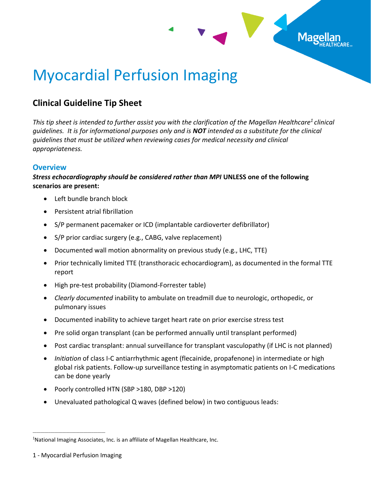

## Myocardial Perfusion Imaging

## **Clinical Guideline Tip Sheet**

*This tip sheet is intended to further assist you with the clarification of the Magellan Healthcare<sup>1</sup> clinical guidelines. It is for informational purposes only and is NOT intended as a substitute for the clinical guidelines that must be utilized when reviewing cases for medical necessity and clinical appropriateness.*

## **Overview**

## *Stress echocardiography should be considered rather than MPI* **UNLESS one of the following scenarios are present:**

- Left bundle branch block
- Persistent atrial fibrillation
- S/P permanent pacemaker or ICD (implantable cardioverter defibrillator)
- S/P prior cardiac surgery (e.g., CABG, valve replacement)
- Documented wall motion abnormality on previous study (e.g., LHC, TTE)
- Prior technically limited TTE (transthoracic echocardiogram), as documented in the formal TTE report
- High pre-test probability (Diamond-Forrester table)
- *Clearly documented* inability to ambulate on treadmill due to neurologic, orthopedic, or pulmonary issues
- Documented inability to achieve target heart rate on prior exercise stress test
- Pre solid organ transplant (can be performed annually until transplant performed)
- Post cardiac transplant: annual surveillance for transplant vasculopathy (if LHC is not planned)
- *Initiation* of class I-C antiarrhythmic agent (flecainide, propafenone) in intermediate or high global risk patients. Follow-up surveillance testing in asymptomatic patients on I-C medications can be done yearly
- Poorly controlled HTN (SBP >180, DBP >120)
- Unevaluated pathological Q waves (defined below) in two contiguous leads:

\_\_\_\_\_\_\_\_\_\_\_\_\_\_\_\_\_\_\_\_\_\_\_\_\_\_\_\_\_\_\_\_\_\_\_\_\_

<sup>&</sup>lt;sup>1</sup>National Imaging Associates, Inc. is an affiliate of Magellan Healthcare, Inc.